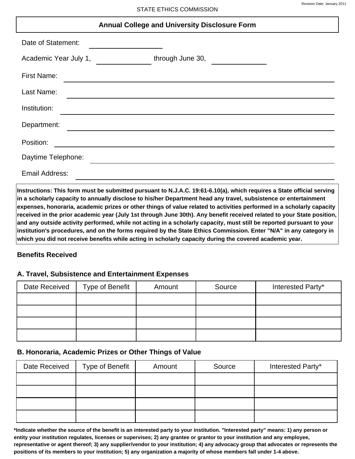## **Annual College and University Disclosure Form**

| Date of Statement:    |                  |  |  |
|-----------------------|------------------|--|--|
| Academic Year July 1, | through June 30, |  |  |
| <b>First Name:</b>    |                  |  |  |
| Last Name:            |                  |  |  |
| Institution:          |                  |  |  |
| Department:           |                  |  |  |
| Position:             |                  |  |  |
| Daytime Telephone:    |                  |  |  |
| Email Address:        |                  |  |  |

Instructions: This form must be submitted pursuant to N.J.A.C. 19:61-6.10(a), which requires a State official serving in a scholarly capacity to annually disclose to his/her Department head any travel, subsistence or entertainment expenses, honoraria, academic prizes or other things of value related to activities performed in a scholarly capacity received in the prior academic year (July 1st through June 30th). Any benefit received related to your State position, and any outside activity performed, while not acting in a scholarly capacity, must still be reported pursuant to your institution's procedures, and on the forms required by the State Ethics Commission. Enter "N/A" in any category in which you did not receive benefits while acting in scholarly capacity during the covered academic year.

### **Benefits Received**

### A. Travel, Subsistence and Entertainment Expenses

| Date Received | Type of Benefit | Amount | Source | Interested Party* |
|---------------|-----------------|--------|--------|-------------------|
|               |                 |        |        |                   |
|               |                 |        |        |                   |
|               |                 |        |        |                   |
|               |                 |        |        |                   |

### B. Honoraria, Academic Prizes or Other Things of Value

| Date Received | Type of Benefit | Amount | Source | Interested Party* |
|---------------|-----------------|--------|--------|-------------------|
|               |                 |        |        |                   |
|               |                 |        |        |                   |
|               |                 |        |        |                   |
|               |                 |        |        |                   |

\*Indicate whether the source of the benefit is an interested party to your institution. "Interested party" means: 1) any person or entity your institution regulates, licenses or supervises; 2) any grantee or grantor to your institution and any employee, representative or agent thereof; 3) any supplier/vendor to your institution; 4) any advocacy group that advocates or represents the positions of its members to your institution; 5) any organization a majority of whose members fall under 1-4 above.